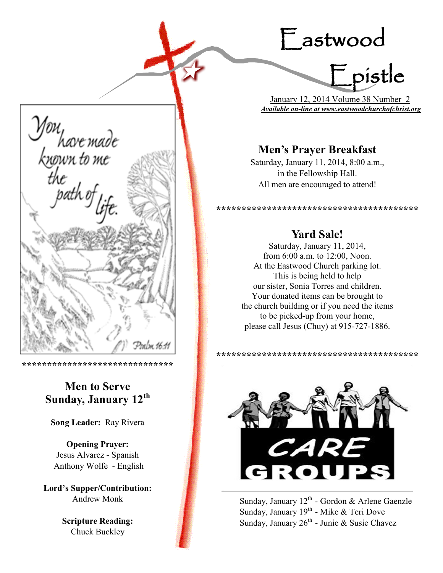# Eastwood



 January 12, 2014 Volume 38 Number 2 *Available on-line at www.eastwoodchurchofchrist.org*

# **Men's Prayer Breakfast**

Saturday, January 11, 2014, 8:00 a.m., in the Fellowship Hall. All men are encouraged to attend!

**\*\*\*\*\*\*\*\*\*\*\*\*\*\*\*\*\*\*\*\*\*\*\*\*\*\*\*\*\*\*\*\*\*\*\*\*\*\*\*\***

# **Yard Sale!**

Saturday, January 11, 2014, from 6:00 a.m. to 12:00, Noon. At the Eastwood Church parking lot. This is being held to help our sister, Sonia Torres and children. Your donated items can be brought to the church building or if you need the items to be picked-up from your home, please call Jesus (Chuy) at 915-727-1886.





Sunday, January  $12^{th}$  - Gordon & Arlene Gaenzle Sunday, January 19<sup>th</sup> - Mike & Teri Dove Sunday, January  $26<sup>th</sup>$  - Junie & Susie Chavez



**\*\*\*\*\*\*\*\*\*\*\*\*\*\*\*\*\*\*\*\*\*\*\*\*\*\*\*\*\*\***

# **Men to Serve Sunday, January 12th**

**Song Leader:** Ray Rivera

**Opening Prayer:** Jesus Alvarez - Spanish Anthony Wolfe - English

**Lord's Supper/Contribution:**  Andrew Monk

> **Scripture Reading:**  Chuck Buckley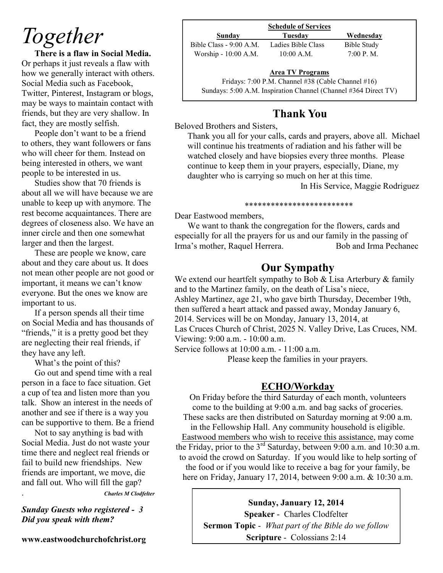# *Together*

**There is a flaw in Social Media.** Or perhaps it just reveals a flaw with how we generally interact with others. Social Media such as Facebook, Twitter, Pinterest, Instagram or blogs, may be ways to maintain contact with friends, but they are very shallow. In fact, they are mostly selfish.

People don't want to be a friend to others, they want followers or fans who will cheer for them. Instead on being interested in others, we want people to be interested in us.

Studies show that 70 friends is about all we will have because we are unable to keep up with anymore. The rest become acquaintances. There are degrees of closeness also. We have an inner circle and then one somewhat larger and then the largest.

These are people we know, care about and they care about us. It does not mean other people are not good or important, it means we can't know everyone. But the ones we know are important to us.

If a person spends all their time on Social Media and has thousands of "friends," it is a pretty good bet they are neglecting their real friends, if they have any left.

What's the point of this?

Go out and spend time with a real person in a face to face situation. Get a cup of tea and listen more than you talk. Show an interest in the needs of another and see if there is a way you can be supportive to them. Be a friend

Not to say anything is bad with Social Media. Just do not waste your time there and neglect real friends or fail to build new friendships. New friends are important, we move, die and fall out. Who will fill the gap? . *Charles M Clodfelter*

*Sunday Guests who registered - 3 Did you speak with them?*

**www.eastwoodchurchofchrist.org**

| Sunday                  | Tuesdav            | Wednesday   |
|-------------------------|--------------------|-------------|
| Bible Class - 9:00 A.M. | Ladies Bible Class | Bible Study |
| Worship - 10:00 A.M.    | $10:00$ A.M.       | 7:00 P. M.  |

 $\frac{P}{e}$ **Area TV Programs**

Fridays: 7:00 P.M. Channel #38 (Cable Channel #16) Sundays: 5:00 A.M. Inspiration Channel (Channel #364 Direct TV)

# **Thank You**

Beloved Brothers and Sisters,

Thank you all for your calls, cards and prayers, above all. Michael will continue his treatments of radiation and his father will be watched closely and have biopsies every three months. Please continue to keep them in your prayers, especially, Diane, my daughter who is carrying so much on her at this time.

In His Service, Maggie Rodriguez

### \*\*\*\*\*\*\*\*\*\*\*\*\*\*\*\*\*\*\*\*\*\*\*\*\*

Dear Eastwood members,

We want to thank the congregation for the flowers, cards and especially for all the prayers for us and our family in the passing of Irma's mother, Raquel Herrera. Bob and Irma Pechanec

# **Our Sympathy**

We extend our heartfelt sympathy to Bob & Lisa Arterbury & family and to the Martinez family, on the death of Lisa's niece, Ashley Martinez, age 21, who gave birth Thursday, December 19th, then suffered a heart attack and passed away, Monday January 6, 2014. Services will be on Monday, January 13, 2014, at Las Cruces Church of Christ, 2025 N. Valley Drive, Las Cruces, NM. Viewing: 9:00 a.m. - 10:00 a.m.

Service follows at 10:00 a.m. - 11:00 a.m.

Please keep the families in your prayers.

# **ECHO/Workday**

On Friday before the third Saturday of each month, volunteers come to the building at 9:00 a.m. and bag sacks of groceries. These sacks are then distributed on Saturday morning at 9:00 a.m. in the Fellowship Hall. Any community household is eligible. Eastwood members who wish to receive this assistance, may come the Friday, prior to the 3<sup>rd</sup> Saturday, between 9:00 a.m. and 10:30 a.m. to avoid the crowd on Saturday. If you would like to help sorting of the food or if you would like to receive a bag for your family, be here on Friday, January 17, 2014, between 9:00 a.m. & 10:30 a.m.

> **Sunday, January 12, 2014 Speaker** - Charles Clodfelter **Sermon Topic** - *What part of the Bible do we follow* **Scripture** - Colossians 2:14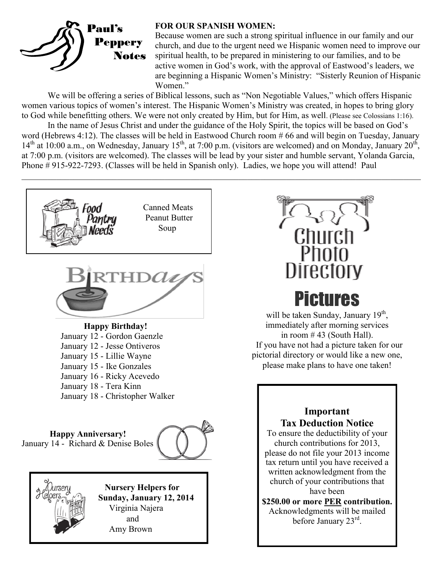

## **FOR OUR SPANISH WOMEN:**

Because women are such a strong spiritual influence in our family and our church, and due to the urgent need we Hispanic women need to improve our spiritual health, to be prepared in ministering to our families, and to be active women in God's work, with the approval of Eastwood's leaders, we are beginning a Hispanic Women's Ministry: "Sisterly Reunion of Hispanic Women."

We will be offering a series of Biblical lessons, such as "Non Negotiable Values," which offers Hispanic women various topics of women's interest. The Hispanic Women's Ministry was created, in hopes to bring glory to God while benefitting others. We were not only created by Him, but for Him, as well. (Please see Colossians 1:16).

In the name of Jesus Christ and under the guidance of the Holy Spirit, the topics will be based on God's word (Hebrews 4:12). The classes will be held in Eastwood Church room # 66 and will begin on Tuesday, January  $14<sup>th</sup>$  at 10:00 a.m., on Wednesday, January 15<sup>th</sup>, at 7:00 p.m. (visitors are welcomed) and on Monday, January 20<sup>th</sup>, at 7:00 p.m. (visitors are welcomed). The classes will be lead by your sister and humble servant, Yolanda Garcia, Phone # 915-922-7293. (Classes will be held in Spanish only). Ladies, we hope you will attend! Paul

 $\_$  , and the contribution of the contribution of the contribution of the contribution of the contribution of  $\mathcal{L}_\text{max}$ 





will be taken Sunday, January 19<sup>th</sup>, immediately after morning services in room  $# 43$  (South Hall). If you have not had a picture taken for our pictorial directory or would like a new one, please make plans to have one taken!